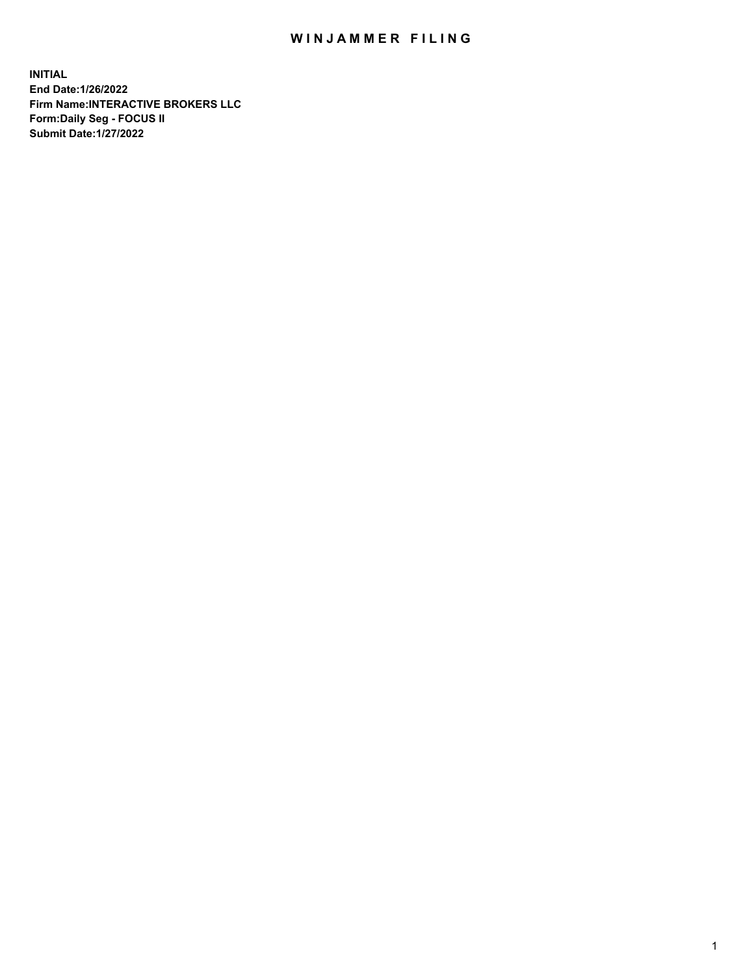## WIN JAMMER FILING

**INITIAL End Date:1/26/2022 Firm Name:INTERACTIVE BROKERS LLC Form:Daily Seg - FOCUS II Submit Date:1/27/2022**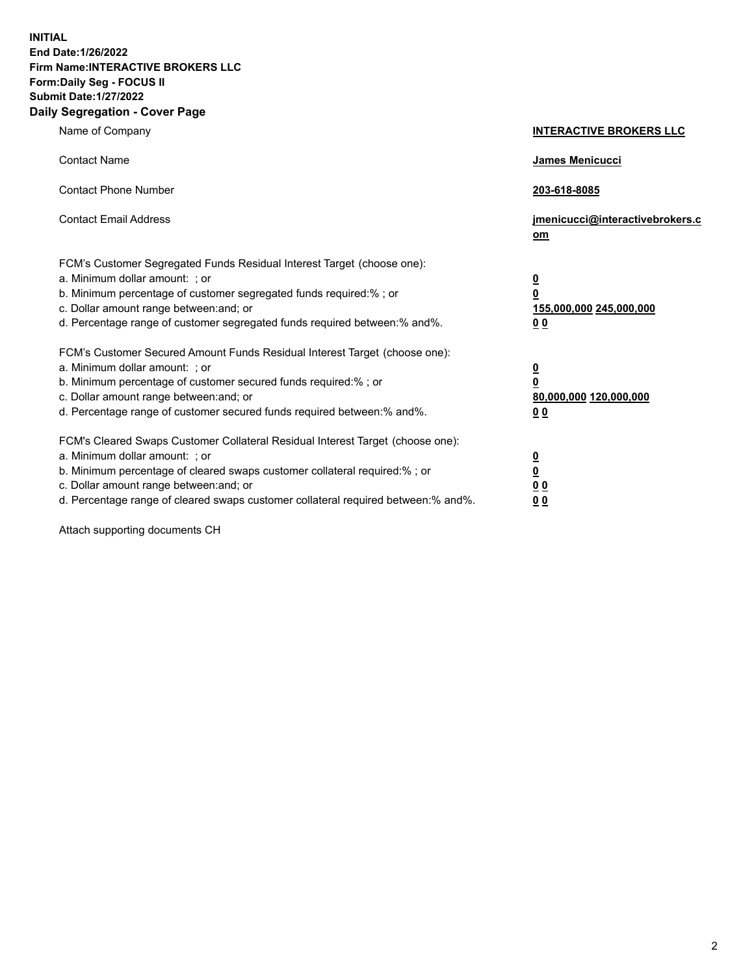**INITIAL End Date:1/26/2022 Firm Name:INTERACTIVE BROKERS LLC Form:Daily Seg - FOCUS II Submit Date:1/27/2022 Daily Segregation - Cover Page**

| Name of Company                                                                                                                                                                                                                                                                                                               | <b>INTERACTIVE BROKERS LLC</b>                                                                  |  |
|-------------------------------------------------------------------------------------------------------------------------------------------------------------------------------------------------------------------------------------------------------------------------------------------------------------------------------|-------------------------------------------------------------------------------------------------|--|
| <b>Contact Name</b>                                                                                                                                                                                                                                                                                                           | James Menicucci                                                                                 |  |
| <b>Contact Phone Number</b>                                                                                                                                                                                                                                                                                                   | 203-618-8085                                                                                    |  |
| <b>Contact Email Address</b>                                                                                                                                                                                                                                                                                                  | jmenicucci@interactivebrokers.c<br><u>om</u>                                                    |  |
| FCM's Customer Segregated Funds Residual Interest Target (choose one):<br>a. Minimum dollar amount: ; or<br>b. Minimum percentage of customer segregated funds required:% ; or<br>c. Dollar amount range between: and; or<br>d. Percentage range of customer segregated funds required between:% and%.                        | $\overline{\mathbf{0}}$<br>$\overline{\mathbf{0}}$<br>155,000,000 245,000,000<br>0 <sub>0</sub> |  |
| FCM's Customer Secured Amount Funds Residual Interest Target (choose one):<br>a. Minimum dollar amount: ; or<br>b. Minimum percentage of customer secured funds required:%; or<br>c. Dollar amount range between: and; or<br>d. Percentage range of customer secured funds required between:% and%.                           | $\overline{\mathbf{0}}$<br>$\overline{\mathbf{0}}$<br>80,000,000 120,000,000<br>0 <sub>0</sub>  |  |
| FCM's Cleared Swaps Customer Collateral Residual Interest Target (choose one):<br>a. Minimum dollar amount: ; or<br>b. Minimum percentage of cleared swaps customer collateral required:%; or<br>c. Dollar amount range between: and; or<br>d. Percentage range of cleared swaps customer collateral required between:% and%. | $\overline{\mathbf{0}}$<br>$\overline{\mathbf{0}}$<br>0 <sub>0</sub><br>0 <sub>0</sub>          |  |

Attach supporting documents CH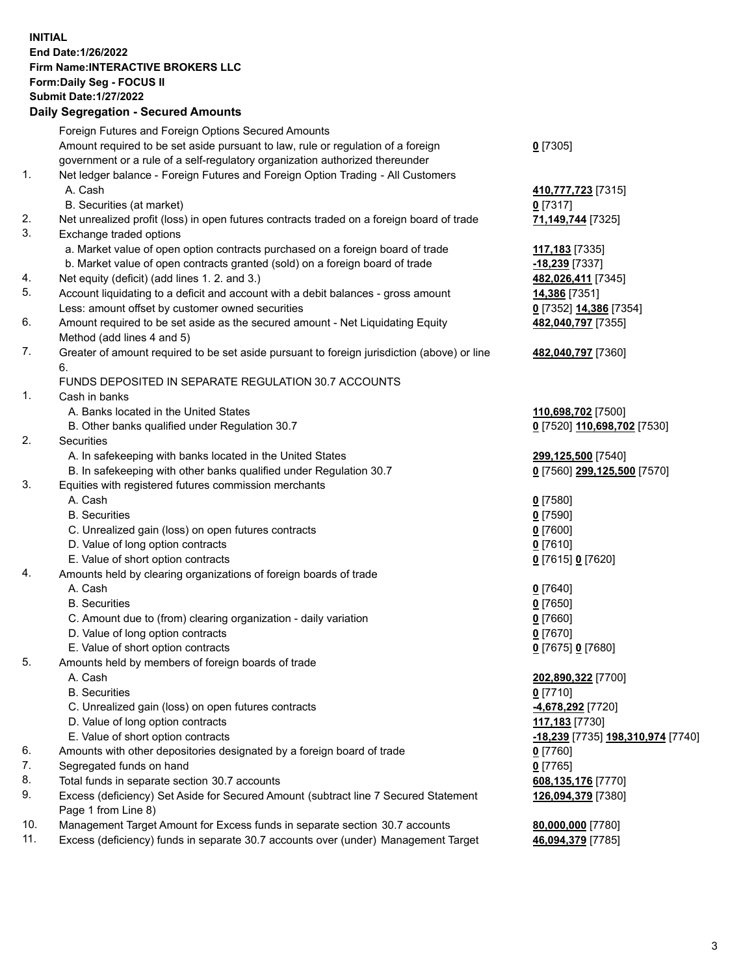**INITIAL End Date:1/26/2022 Firm Name:INTERACTIVE BROKERS LLC Form:Daily Seg - FOCUS II Submit Date:1/27/2022 Daily Segregation - Secured Amounts**

## Foreign Futures and Foreign Options Secured Amounts Amount required to be set aside pursuant to law, rule or regulation of a foreign government or a rule of a self-regulatory organization authorized thereunder **0** [7305] 1. Net ledger balance - Foreign Futures and Foreign Option Trading - All Customers A. Cash **410,777,723** [7315] B. Securities (at market) **0** [7317] 2. Net unrealized profit (loss) in open futures contracts traded on a foreign board of trade **71,149,744** [7325] 3. Exchange traded options a. Market value of open option contracts purchased on a foreign board of trade **117,183** [7335] b. Market value of open contracts granted (sold) on a foreign board of trade **-18,239** [7337] 4. Net equity (deficit) (add lines 1. 2. and 3.) **482,026,411** [7345] 5. Account liquidating to a deficit and account with a debit balances - gross amount **14,386** [7351] Less: amount offset by customer owned securities **0** [7352] **14,386** [7354] 6. Amount required to be set aside as the secured amount - Net Liquidating Equity Method (add lines 4 and 5) **482,040,797** [7355] 7. Greater of amount required to be set aside pursuant to foreign jurisdiction (above) or line 6. **482,040,797** [7360] FUNDS DEPOSITED IN SEPARATE REGULATION 30.7 ACCOUNTS 1. Cash in banks A. Banks located in the United States **110,698,702** [7500] B. Other banks qualified under Regulation 30.7 **0** [7520] **110,698,702** [7530] 2. Securities A. In safekeeping with banks located in the United States **299,125,500** [7540] B. In safekeeping with other banks qualified under Regulation 30.7 **0** [7560] **299,125,500** [7570] 3. Equities with registered futures commission merchants A. Cash **0** [7580] B. Securities **0** [7590] C. Unrealized gain (loss) on open futures contracts **0** [7600] D. Value of long option contracts **0** [7610] E. Value of short option contracts **0** [7615] **0** [7620] 4. Amounts held by clearing organizations of foreign boards of trade A. Cash **0** [7640] B. Securities **0** [7650] C. Amount due to (from) clearing organization - daily variation **0** [7660] D. Value of long option contracts **0** [7670] E. Value of short option contracts **0** [7675] **0** [7680] 5. Amounts held by members of foreign boards of trade A. Cash **202,890,322** [7700] B. Securities **0** [7710] C. Unrealized gain (loss) on open futures contracts **-4,678,292** [7720] D. Value of long option contracts **117,183** [7730] E. Value of short option contracts **-18,239** [7735] **198,310,974** [7740] 6. Amounts with other depositories designated by a foreign board of trade **0** [7760] 7. Segregated funds on hand **0** [7765] 8. Total funds in separate section 30.7 accounts **608,135,176** [7770] 9. Excess (deficiency) Set Aside for Secured Amount (subtract line 7 Secured Statement Page 1 from Line 8) **126,094,379** [7380] 10. Management Target Amount for Excess funds in separate section 30.7 accounts **80,000,000** [7780] 11. Excess (deficiency) funds in separate 30.7 accounts over (under) Management Target **46,094,379** [7785]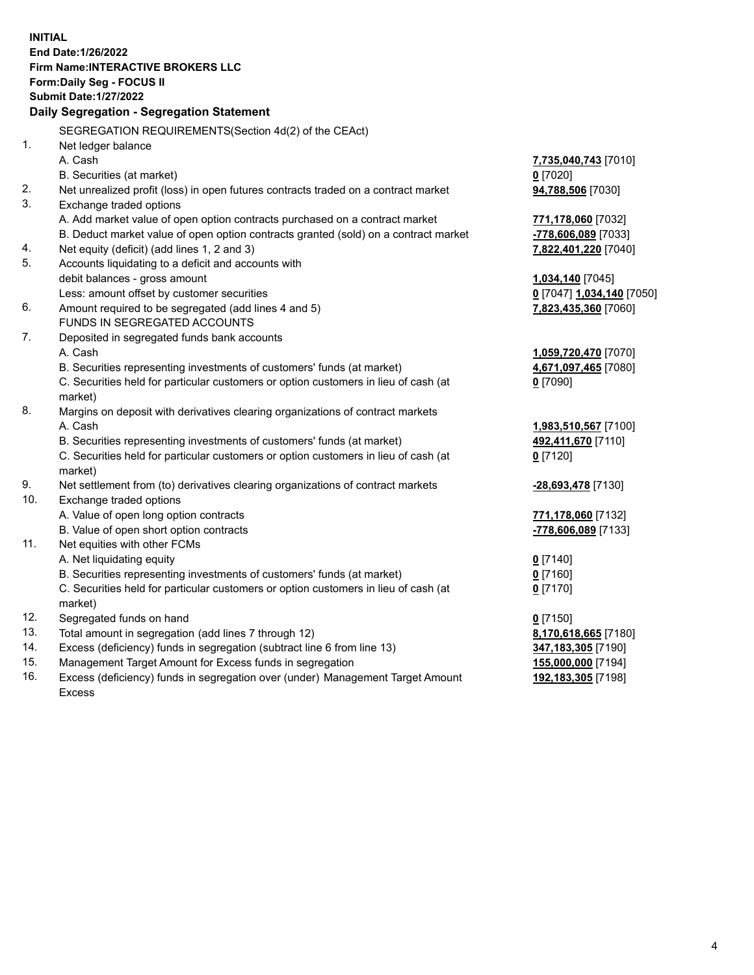**INITIAL End Date:1/26/2022 Firm Name:INTERACTIVE BROKERS LLC Form:Daily Seg - FOCUS II Submit Date:1/27/2022 Daily Segregation - Segregation Statement** SEGREGATION REQUIREMENTS(Section 4d(2) of the CEAct) 1. Net ledger balance A. Cash **7,735,040,743** [7010] B. Securities (at market) **0** [7020] 2. Net unrealized profit (loss) in open futures contracts traded on a contract market **94,788,506** [7030] 3. Exchange traded options A. Add market value of open option contracts purchased on a contract market **771,178,060** [7032] B. Deduct market value of open option contracts granted (sold) on a contract market **-778,606,089** [7033] 4. Net equity (deficit) (add lines 1, 2 and 3) **7,822,401,220** [7040] 5. Accounts liquidating to a deficit and accounts with debit balances - gross amount **1,034,140** [7045] Less: amount offset by customer securities **0** [7047] **1,034,140** [7050] 6. Amount required to be segregated (add lines 4 and 5) **7,823,435,360** [7060] FUNDS IN SEGREGATED ACCOUNTS 7. Deposited in segregated funds bank accounts A. Cash **1,059,720,470** [7070] B. Securities representing investments of customers' funds (at market) **4,671,097,465** [7080] C. Securities held for particular customers or option customers in lieu of cash (at market) **0** [7090] 8. Margins on deposit with derivatives clearing organizations of contract markets A. Cash **1,983,510,567** [7100] B. Securities representing investments of customers' funds (at market) **492,411,670** [7110] C. Securities held for particular customers or option customers in lieu of cash (at market) **0** [7120] 9. Net settlement from (to) derivatives clearing organizations of contract markets **-28,693,478** [7130] 10. Exchange traded options A. Value of open long option contracts **771,178,060** [7132] B. Value of open short option contracts **-778,606,089** [7133] 11. Net equities with other FCMs A. Net liquidating equity **0** [7140] B. Securities representing investments of customers' funds (at market) **0** [7160] C. Securities held for particular customers or option customers in lieu of cash (at market) **0** [7170] 12. Segregated funds on hand **0** [7150] 13. Total amount in segregation (add lines 7 through 12) **8,170,618,665** [7180] 14. Excess (deficiency) funds in segregation (subtract line 6 from line 13) **347,183,305** [7190] 15. Management Target Amount for Excess funds in segregation **155,000,000** [7194] 16. Excess (deficiency) funds in segregation over (under) Management Target Amount Excess **192,183,305** [7198]